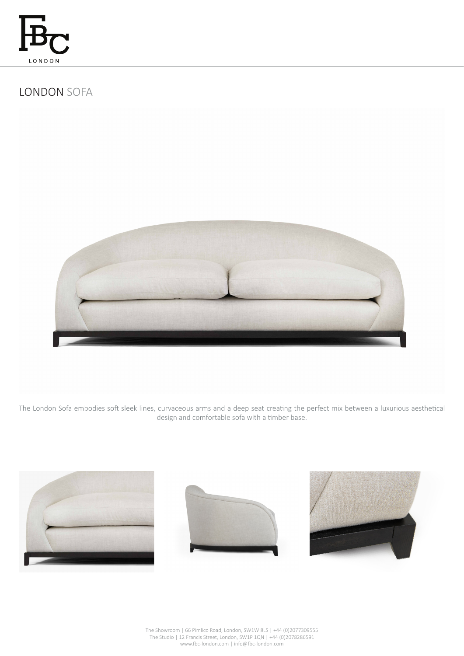

# LONDON SOFA



The London Sofa embodies soft sleek lines, curvaceous arms and a deep seat creating the perfect mix between a luxurious aesthetical design and comfortable sofa with a timber base.